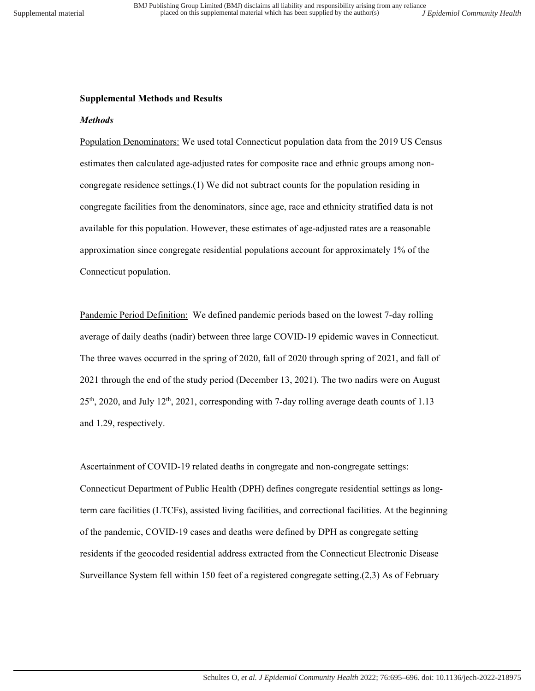### **Supplemental Methods and Results**

#### *Methods*

Population Denominators: We used total Connecticut population data from the 2019 US Census estimates then calculated age-adjusted rates for composite race and ethnic groups among noncongregate residence settings.(1) We did not subtract counts for the population residing in congregate facilities from the denominators, since age, race and ethnicity stratified data is not available for this population. However, these estimates of age-adjusted rates are a reasonable approximation since congregate residential populations account for approximately 1% of the Connecticut population.

Pandemic Period Definition: We defined pandemic periods based on the lowest 7-day rolling average of daily deaths (nadir) between three large COVID-19 epidemic waves in Connecticut. The three waves occurred in the spring of 2020, fall of 2020 through spring of 2021, and fall of 2021 through the end of the study period (December 13, 2021). The two nadirs were on August 25<sup>th</sup>, 2020, and July 12<sup>th</sup>, 2021, corresponding with 7-day rolling average death counts of 1.13 and 1.29, respectively.

Ascertainment of COVID-19 related deaths in congregate and non-congregate settings: Connecticut Department of Public Health (DPH) defines congregate residential settings as longterm care facilities (LTCFs), assisted living facilities, and correctional facilities. At the beginning of the pandemic, COVID-19 cases and deaths were defined by DPH as congregate setting residents if the geocoded residential address extracted from the Connecticut Electronic Disease

Surveillance System fell within 150 feet of a registered congregate setting.(2,3) As of February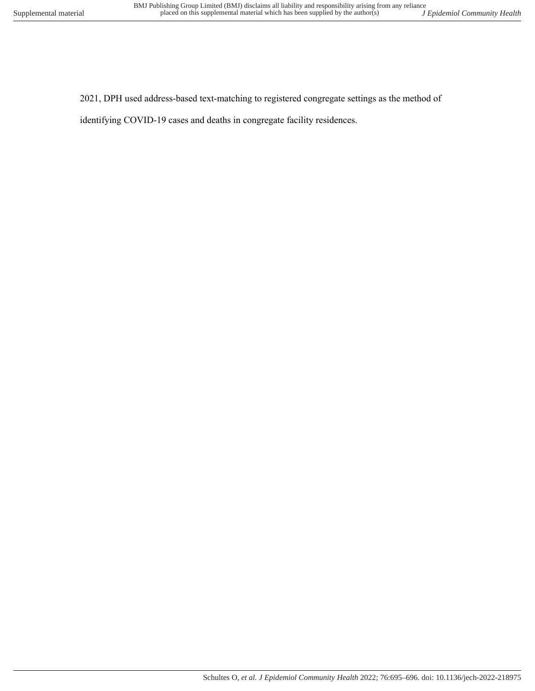# 2021, DPH used address-based text-matching to registered congregate settings as the method of

identifying COVID-19 cases and deaths in congregate facility residences.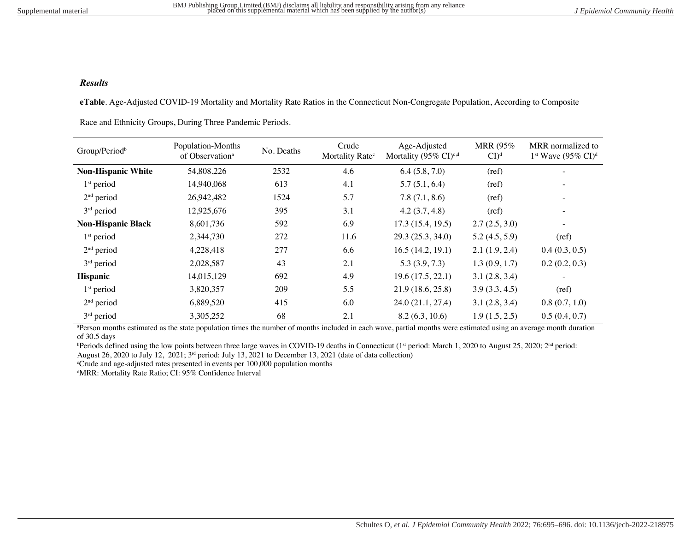### *Results*

**eTable**. Age-Adjusted COVID-19 Mortality and Mortality Rate Ratios in the Connecticut Non-Congregate Population, According to Composite

| Group/Period <sup>b</sup> | Population-Months<br>of Observation <sup>a</sup> | No. Deaths | Crude<br>Mortality Rate <sup>c</sup> | Age-Adjusted<br>Mortality (95% $CI$ ) <sup>c,d</sup> | <b>MRR (95%)</b><br>$\mathrm{CI}$ <sup>d</sup> | MRR normalized to<br>$1st$ Wave (95% CI) <sup>d</sup> |
|---------------------------|--------------------------------------------------|------------|--------------------------------------|------------------------------------------------------|------------------------------------------------|-------------------------------------------------------|
| <b>Non-Hispanic White</b> | 54,808,226                                       | 2532       | 4.6                                  | 6.4(5.8, 7.0)                                        | (ref)                                          |                                                       |
| $1st$ period              | 14,940,068                                       | 613        | 4.1                                  | 5.7(5.1, 6.4)                                        | (ref)                                          | $\overline{\phantom{a}}$                              |
| $2nd$ period              | 26,942,482                                       | 1524       | 5.7                                  | 7.8(7.1, 8.6)                                        | (ref)                                          |                                                       |
| $3rd$ period              | 12,925,676                                       | 395        | 3.1                                  | 4.2(3.7, 4.8)                                        | (ref)                                          |                                                       |
| <b>Non-Hispanic Black</b> | 8,601,736                                        | 592        | 6.9                                  | 17.3(15.4, 19.5)                                     | 2.7(2.5, 3.0)                                  |                                                       |
| $1st$ period              | 2,344,730                                        | 272        | 11.6                                 | 29.3 (25.3, 34.0)                                    | 5.2(4.5, 5.9)                                  | (ref)                                                 |
| $2nd$ period              | 4,228,418                                        | 277        | 6.6                                  | 16.5(14.2, 19.1)                                     | 2.1(1.9, 2.4)                                  | 0.4(0.3, 0.5)                                         |
| $3rd$ period              | 2,028,587                                        | 43         | 2.1                                  | 5.3(3.9, 7.3)                                        | 1.3(0.9, 1.7)                                  | 0.2(0.2, 0.3)                                         |
| <b>Hispanic</b>           | 14,015,129                                       | 692        | 4.9                                  | 19.6(17.5, 22.1)                                     | 3.1(2.8, 3.4)                                  |                                                       |
| $1st$ period              | 3,820,357                                        | 209        | 5.5                                  | 21.9(18.6, 25.8)                                     | 3.9(3.3, 4.5)                                  | (ref)                                                 |
| $2nd$ period              | 6,889,520                                        | 415        | 6.0                                  | 24.0 (21.1, 27.4)                                    | 3.1(2.8, 3.4)                                  | 0.8(0.7, 1.0)                                         |
| $3rd$ period              | 3,305,252                                        | 68         | 2.1                                  | 8.2(6.3, 10.6)                                       | 1.9(1.5, 2.5)                                  | 0.5(0.4, 0.7)                                         |

Race and Ethnicity Groups, During Three Pandemic Periods.

<sup>a</sup>Person months estimated as the state population times the number of months included in each wave, partial months were estimated using an average month duration of 30.5 days

bPeriods defined using the low points between three large waves in COVID-19 deaths in Connecticut (1<sup>st</sup> period: March 1, 2020 to August 25, 2020; 2<sup>nd</sup> period: August 26, 2020 to July 12, 2021; 3rd period: July 13, 2021 to December 13, 2021 (date of data collection)

<sup>c</sup>Crude and age-adjusted rates presented in events per 100,000 population months

<sup>d</sup>MRR: Mortality Rate Ratio; CI: 95% Confidence Interval